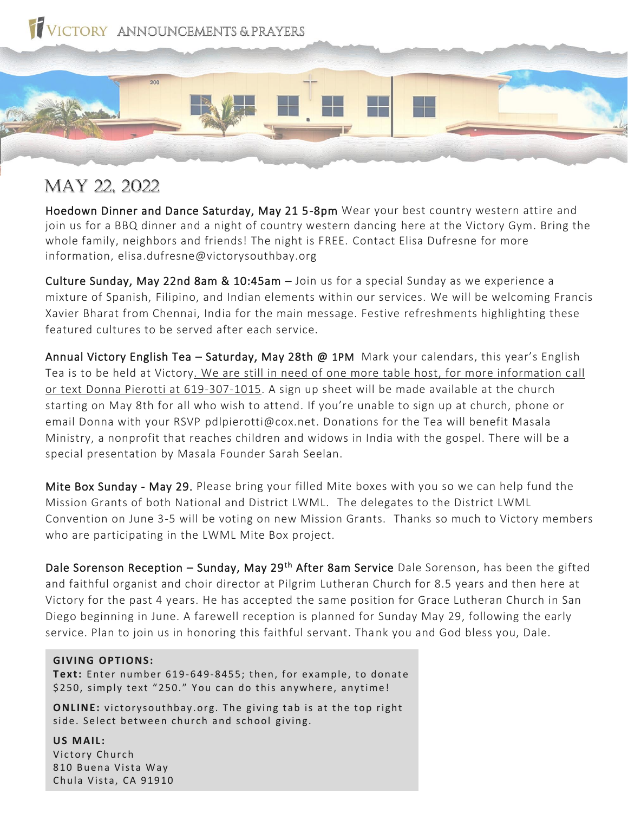

May 22, 2022

Hoedown Dinner and Dance Saturday, May 21 5-8pm Wear your best country western attire and join us for a BBQ dinner and a night of country western dancing here at the Victory Gym. Bring the whole family, neighbors and friends! The night is FREE. Contact Elisa Dufresne for more information, elisa.dufresne@victorysouthbay.org

Culture Sunday, May 22nd 8am & 10:45am – Join us for a special Sunday as we experience a mixture of Spanish, Filipino, and Indian elements within our services. We will be welcoming Francis Xavier Bharat from Chennai, India for the main message. Festive refreshments highlighting these featured cultures to be served after each service.

Annual Victory English Tea - Saturday, May 28th @ 1PM Mark your calendars, this year's English Tea is to be held at Victory. We are still in need of one more table host, for more information call or text Donna Pierotti at 619-307-1015. A sign up sheet will be made available at the church starting on May 8th for all who wish to attend. If you're unable to sign up at church, phone or email Donna with your RSVP pdlpierotti@cox.net. Donations for the Tea will benefit Masala Ministry, a nonprofit that reaches children and widows in India with the gospel. There will be a special presentation by Masala Founder Sarah Seelan.

Mite Box Sunday - May 29. Please bring your filled Mite boxes with you so we can help fund the Mission Grants of both National and District LWML. The delegates to the District LWML Convention on June 3-5 will be voting on new Mission Grants. Thanks so much to Victory members who are participating in the LWML Mite Box project.

Dale Sorenson Reception – Sunday, May 29<sup>th</sup> After 8am Service Dale Sorenson, has been the gifted and faithful organist and choir director at Pilgrim Lutheran Church for 8.5 years and then here at Victory for the past 4 years. He has accepted the same position for Grace Lutheran Church in San Diego beginning in June. A farewell reception is planned for Sunday May 29, following the early service. Plan to join us in honoring this faithful servant. Thank you and God bless you, Dale.

## **GIVING OPTIONS:**

**Text:** Enter number 619-649-8455; then, for example, to donate \$250, simply text "250." You can do this anywhere, anytime!

**ONLINE:** victory south bay .org. The giving tab is at the top right side. Select between church and school giving.

**US MAIL:**  Victory Church 810 Buena Vista Way Chula Vista, CA 91910